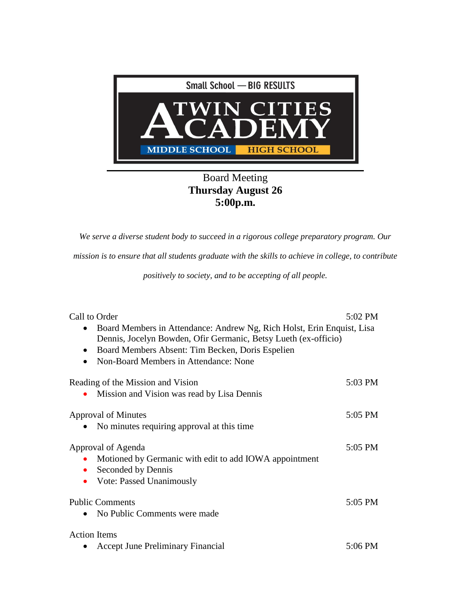

## Board Meeting **Thursday August 26 5:00p.m.**

*We serve a diverse student body to succeed in a rigorous college preparatory program. Our* 

*mission is to ensure that all students graduate with the skills to achieve in college, to contribute* 

*positively to society, and to be accepting of all people.*

| Call to Order                                                                                                                                                                                                                                                    | 5:02 PM |
|------------------------------------------------------------------------------------------------------------------------------------------------------------------------------------------------------------------------------------------------------------------|---------|
| Board Members in Attendance: Andrew Ng, Rich Holst, Erin Enquist, Lisa<br>$\bullet$<br>Dennis, Jocelyn Bowden, Ofir Germanic, Betsy Lueth (ex-officio)<br>Board Members Absent: Tim Becken, Doris Espelien<br>$\bullet$<br>Non-Board Members in Attendance: None |         |
| Reading of the Mission and Vision                                                                                                                                                                                                                                | 5:03 PM |
| Mission and Vision was read by Lisa Dennis                                                                                                                                                                                                                       |         |
| Approval of Minutes                                                                                                                                                                                                                                              | 5:05 PM |
| No minutes requiring approval at this time.                                                                                                                                                                                                                      |         |
| Approval of Agenda                                                                                                                                                                                                                                               | 5:05 PM |
| Motioned by Germanic with edit to add IOWA appointment                                                                                                                                                                                                           |         |
| Seconded by Dennis                                                                                                                                                                                                                                               |         |
| <b>Vote: Passed Unanimously</b>                                                                                                                                                                                                                                  |         |
| <b>Public Comments</b>                                                                                                                                                                                                                                           | 5:05 PM |
| No Public Comments were made                                                                                                                                                                                                                                     |         |
| <b>Action Items</b>                                                                                                                                                                                                                                              |         |
| <b>Accept June Preliminary Financial</b>                                                                                                                                                                                                                         | 5:06 PM |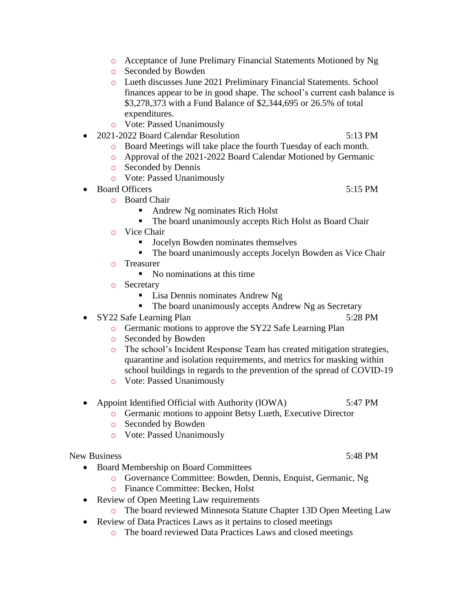- o Acceptance of June Prelimary Financial Statements Motioned by Ng
- o Seconded by Bowden
- o Lueth discusses June 2021 Preliminary Financial Statements. School finances appear to be in good shape. The school's current cash balance is \$3,278,373 with a Fund Balance of \$2,344,695 or 26.5% of total expenditures.
- o Vote: Passed Unanimously
- 2021-2022 Board Calendar Resolution 5:13 PM
	- o Board Meetings will take place the fourth Tuesday of each month.
	- o Approval of the 2021-2022 Board Calendar Motioned by Germanic
	- o Seconded by Dennis
	- o Vote: Passed Unanimously
- Board Officers 5:15 PM
	- o Board Chair
		- Andrew Ng nominates Rich Holst
		- The board unanimously accepts Rich Holst as Board Chair
		- o Vice Chair
			- Jocelyn Bowden nominates themselves
			- The board unanimously accepts Jocelyn Bowden as Vice Chair
		- o Treasurer
			- No nominations at this time
		- o Secretary
			- **Lisa Dennis nominates Andrew Ng**
			- The board unanimously accepts Andrew Ng as Secretary
- SY22 Safe Learning Plan 5:28 PM
	- o Germanic motions to approve the SY22 Safe Learning Plan
	- o Seconded by Bowden
	- o The school's Incident Response Team has created mitigation strategies, quarantine and isolation requirements, and metrics for masking within school buildings in regards to the prevention of the spread of COVID-19
	- o Vote: Passed Unanimously
- Appoint Identified Official with Authority (IOWA) 5:47 PM
	- o Germanic motions to appoint Betsy Lueth, Executive Director
	- o Seconded by Bowden
	- o Vote: Passed Unanimously

## New Business 5:48 PM

- Board Membership on Board Committees
	- o Governance Committee: Bowden, Dennis, Enquist, Germanic, Ng
	- o Finance Committee: Becken, Holst
- Review of Open Meeting Law requirements
	- o The board reviewed Minnesota Statute Chapter 13D Open Meeting Law
- Review of Data Practices Laws as it pertains to closed meetings
	- o The board reviewed Data Practices Laws and closed meetings